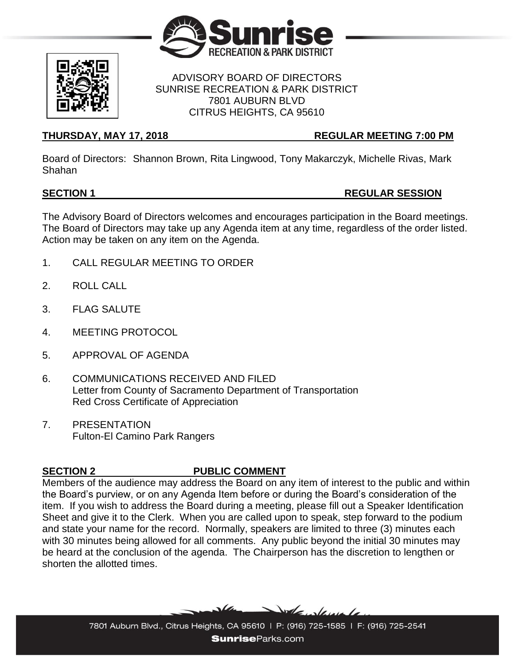



### ADVISORY BOARD OF DIRECTORS SUNRISE RECREATION & PARK DISTRICT 7801 AUBURN BLVD CITRUS HEIGHTS, CA 95610

## **THURSDAY, MAY 17, 2018 REGULAR MEETING 7:00 PM**

Board of Directors: Shannon Brown, Rita Lingwood, Tony Makarczyk, Michelle Rivas, Mark Shahan

## **SECTION 1 REGULAR SESSION**

The Advisory Board of Directors welcomes and encourages participation in the Board meetings. The Board of Directors may take up any Agenda item at any time, regardless of the order listed. Action may be taken on any item on the Agenda.

- 1. CALL REGULAR MEETING TO ORDER
- 2. ROLL CALL
- 3. FLAG SALUTE
- 4. MEETING PROTOCOL
- 5. APPROVAL OF AGENDA
- 6. COMMUNICATIONS RECEIVED AND FILED Letter from County of Sacramento Department of Transportation Red Cross Certificate of Appreciation
- 7. PRESENTATION Fulton-El Camino Park Rangers

# **SECTION 2 PUBLIC COMMENT**

Members of the audience may address the Board on any item of interest to the public and within the Board's purview, or on any Agenda Item before or during the Board's consideration of the item. If you wish to address the Board during a meeting, please fill out a Speaker Identification Sheet and give it to the Clerk. When you are called upon to speak, step forward to the podium and state your name for the record. Normally, speakers are limited to three (3) minutes each with 30 minutes being allowed for all comments. Any public beyond the initial 30 minutes may be heard at the conclusion of the agenda. The Chairperson has the discretion to lengthen or shorten the allotted times.

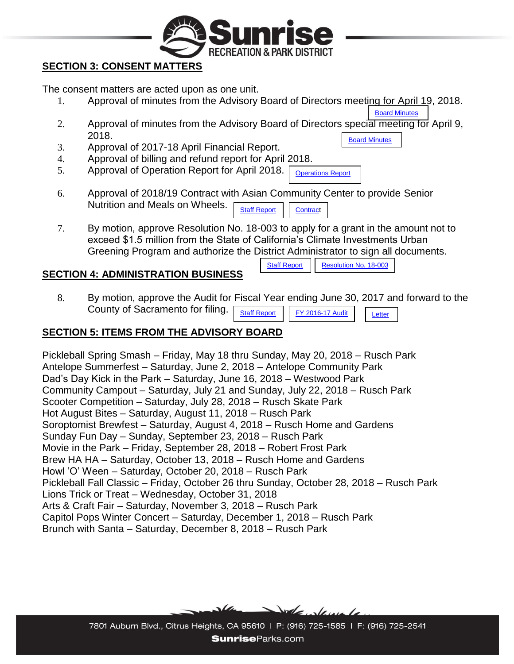

## **SECTION 3: CONSENT MATTERS**

The consent matters are acted upon as one unit.

- 1. Approval of minutes from the Advisory Board of Directors meeting for April 19, 2018. [Board Minutes](https://www.sunriseparks.com/files/92ec91595/Minutes+4-19-18.pdf)
- 2. Approval of minutes from the Advisory Board of Directors special meeting for April 9, 2018. [Board Minutes](https://www.sunriseparks.com/files/0cf758dc9/Minutes+4-9-18.pdf)
- 3. Approval of 2017-18 April Financial Report.
- 4. Approval of billing and refund report for April 2018.
- 5. Approval of Operation Report for April 2018. [Operations Report](https://www.sunriseparks.com/files/181035061/Operations+Report+April+2018..pdf)
- 6. Approval of 2018/19 Contract with Asian Community Center to provide Senior Nutrition and Meals on Wheels. [Staff Report](https://www.sunriseparks.com/files/700dbe9b9/Board+Report+05-17+Asian+Community+Center.pdf) [Contract](https://www.sunriseparks.com/files/0c2f2bf4f/Sunrise+District-Rusch+Park+2018-2019.pdf)
- 7. By motion, approve Resolution No. 18-003 to apply for a grant in the amount not to exceed \$1.5 million from the State of California's Climate Investments Urban Greening Program and authorize the District Administrator to sign all documents.

## **SECTION 4: ADMINISTRATION BUSINESS**

[Staff Report](https://www.sunriseparks.com/files/88a49d4d2/2018+Urban+Greening+Project+Cabana+Park.pdf) **[Resolution No. 18-003](https://www.sunriseparks.com/files/e838c8cf5/Resolution+No.+18-003.pdf)** 

8. By motion, approve the Audit for Fiscal Year ending June 30, 2017 and forward to the County of Sacramento for filing. [Staff Report](https://www.sunriseparks.com/files/a54d0bf4e/Audit+Report+2016-17.pdf) [FY 2016-17 Audit](https://www.sunriseparks.com/files/37afa7c44/FY+2016-17+Audit.pdf)

## **SECTION 5: ITEMS FROM THE ADVISORY BOARD**

Pickleball Spring Smash – Friday, May 18 thru Sunday, May 20, 2018 – Rusch Park Antelope Summerfest – Saturday, June 2, 2018 – Antelope Community Park Dad's Day Kick in the Park – Saturday, June 16, 2018 – Westwood Park Community Campout – Saturday, July 21 and Sunday, July 22, 2018 – Rusch Park Scooter Competition – Saturday, July 28, 2018 – Rusch Skate Park Hot August Bites – Saturday, August 11, 2018 – Rusch Park Soroptomist Brewfest – Saturday, August 4, 2018 – Rusch Home and Gardens Sunday Fun Day – Sunday, September 23, 2018 – Rusch Park Movie in the Park – Friday, September 28, 2018 – Robert Frost Park Brew HA HA – Saturday, October 13, 2018 – Rusch Home and Gardens Howl 'O' Ween – Saturday, October 20, 2018 – Rusch Park Pickleball Fall Classic – Friday, October 26 thru Sunday, October 28, 2018 – Rusch Park Lions Trick or Treat – Wednesday, October 31, 2018 Arts & Craft Fair – Saturday, November 3, 2018 – Rusch Park Capitol Pops Winter Concert – Saturday, December 1, 2018 – Rusch Park Brunch with Santa – Saturday, December 8, 2018 – Rusch Park



7801 Auburn Blvd., Citrus Heights, CA 95610 | P: (916) 725-1585 | F: (916) 725-2541 **SunriseParks.com**